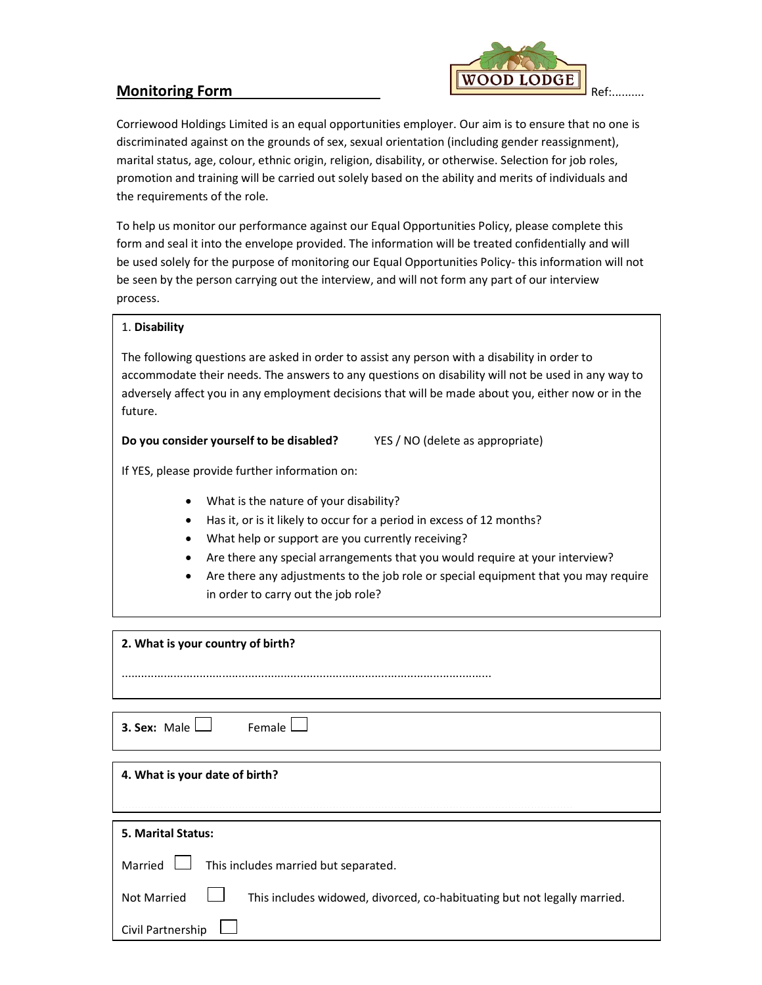

Corriewood Holdings Limited is an equal opportunities employer. Our aim is to ensure that no one is discriminated against on the grounds of sex, sexual orientation (including gender reassignment), marital status, age, colour, ethnic origin, religion, disability, or otherwise. Selection for job roles, promotion and training will be carried out solely based on the ability and merits of individuals and the requirements of the role.

To help us monitor our performance against our Equal Opportunities Policy, please complete this form and seal it into the envelope provided. The information will be treated confidentially and will be used solely for the purpose of monitoring our Equal Opportunities Policy- this information will not be seen by the person carrying out the interview, and will not form any part of our interview process.

## 1. Disability

The following questions are asked in order to assist any person with a disability in order to accommodate their needs. The answers to any questions on disability will not be used in any way to adversely affect you in any employment decisions that will be made about you, either now or in the future.

Do you consider yourself to be disabled? YES / NO (delete as appropriate)

If YES, please provide further information on:

- What is the nature of your disability?
- Has it, or is it likely to occur for a period in excess of 12 months?
- What help or support are you currently receiving?

..................................................................................................................

- Are there any special arrangements that you would require at your interview?
- Are there any adjustments to the job role or special equipment that you may require in order to carry out the job role?

2. What is your country of birth?

**3. Sex:** Male  $\Box$  Female  $\Box$ 

| 4. What is your date of birth? |  |
|--------------------------------|--|
|--------------------------------|--|

| <b>5. Marital Status:</b>                                                                            |
|------------------------------------------------------------------------------------------------------|
| Married $\Box$ This includes married but separated.                                                  |
| Not Married <sub>L</sub><br>This includes widowed, divorced, co-habituating but not legally married. |
| Civil Partnership $\Box$                                                                             |